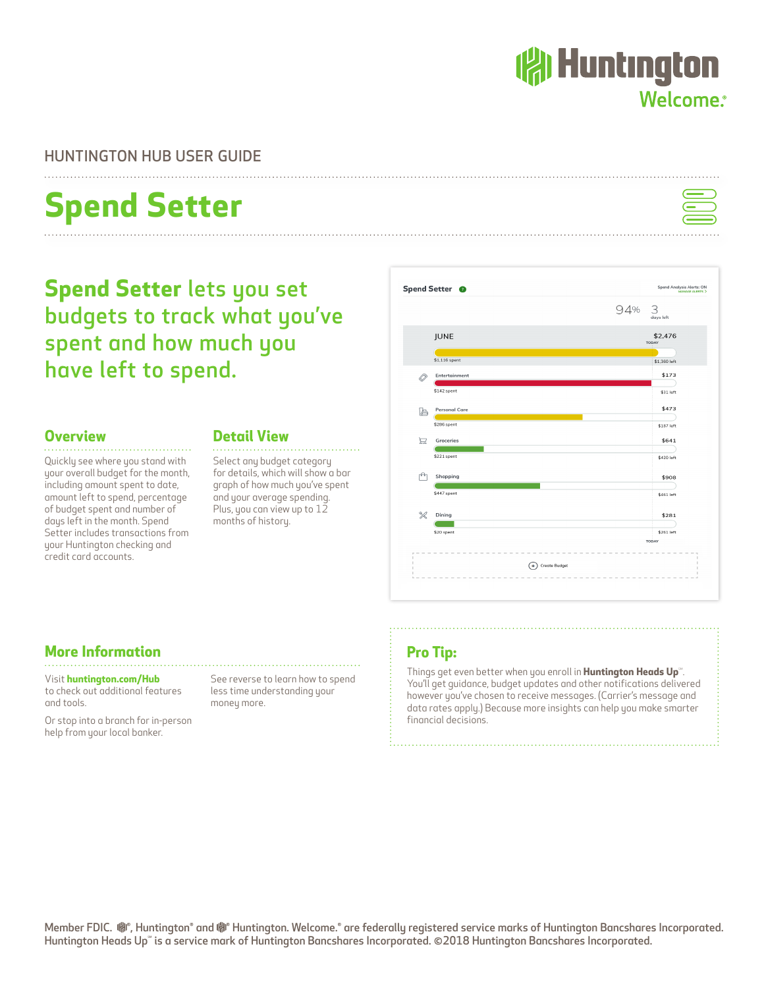### HUNTINGTON HUB USER GUIDE

# **Spend Setter**

**Spend Setter** lets you set budgets to track what you've spent and how much you have left to spend.

#### **Overview**

Quickly see where you stand with your overall budget for the month, including amount spent to date, amount left to spend, percentage of budget spent and number of days left in the month. Spend Setter includes transactions from your Huntington checking and credit card accounts.

**More Information**

Visit **huntington.com/Hub** to check out additional features

Or stop into a branch for in-person help from your local banker.

and tools.

#### **Detail View**

Select any budget category for details, which will show a bar graph of how much you've spent and your average spending. Plus, you can view up to 12 months of history.

See reverse to learn how to spend less time understanding your

money more.

## **Pro Tip:**

Things get even better when you enroll in **Huntington Heads Up**®. You'll get guidance, budget updates and other notifications delivered however you've chosen to receive messages. (Carrier's message and data rates apply.) Because more insights can help you make smarter financial decisions.







## **( Huntington** Welcome.<sup>®</sup>